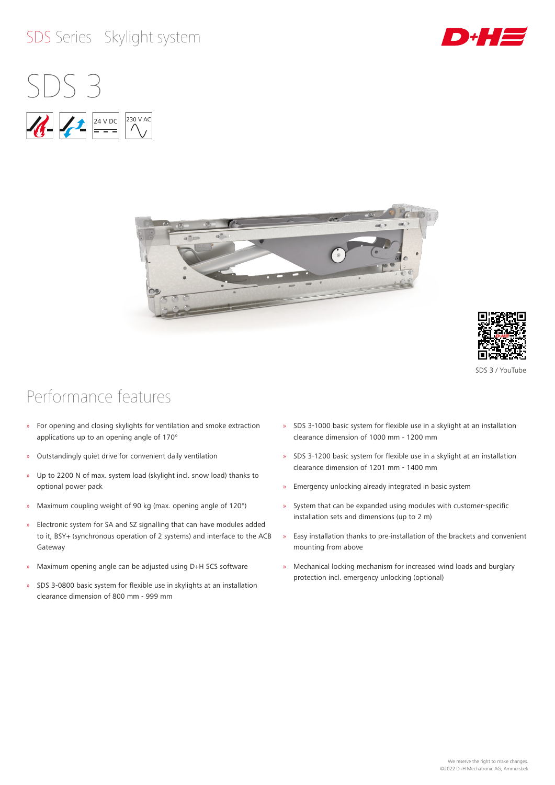#### SDS Series Skylight system









SDS 3 / YouTube

## Performance features

- » For opening and closing skylights for ventilation and smoke extraction applications up to an opening angle of 170°
- » Outstandingly quiet drive for convenient daily ventilation
- » Up to 2200 N of max. system load (skylight incl. snow load) thanks to optional power pack
- » Maximum coupling weight of 90 kg (max. opening angle of 120°)
- » Electronic system for SA and SZ signalling that can have modules added to it, BSY+ (synchronous operation of 2 systems) and interface to the ACB Gateway
- » Maximum opening angle can be adjusted using D+H SCS software
- » SDS 3-0800 basic system for flexible use in skylights at an installation clearance dimension of 800 mm - 999 mm
- » SDS 3-1000 basic system for flexible use in a skylight at an installation clearance dimension of 1000 mm - 1200 mm
- » SDS 3-1200 basic system for flexible use in a skylight at an installation clearance dimension of 1201 mm - 1400 mm
- » Emergency unlocking already integrated in basic system
- » System that can be expanded using modules with customer-specific installation sets and dimensions (up to 2 m)
- » Easy installation thanks to pre-installation of the brackets and convenient mounting from above
- » Mechanical locking mechanism for increased wind loads and burglary protection incl. emergency unlocking (optional)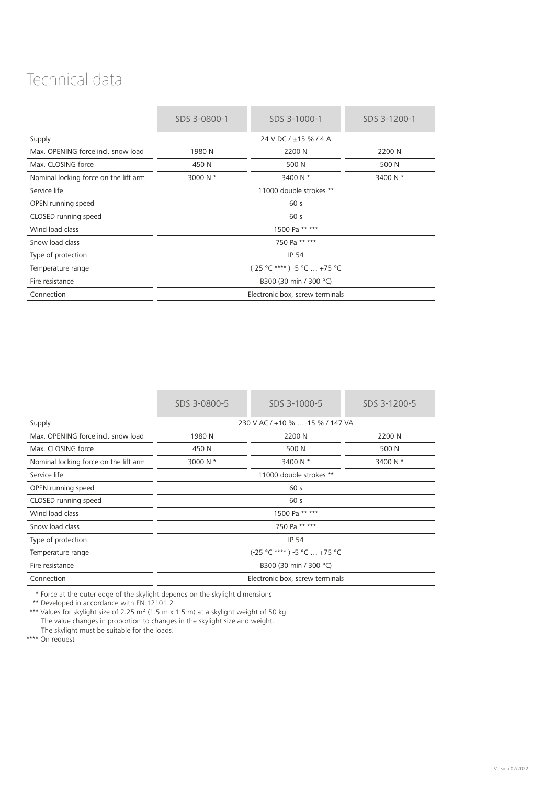## Technical data

|                                       | SDS 3-0800-1                    | SDS 3-1000-1 | SDS 3-1200-1 |
|---------------------------------------|---------------------------------|--------------|--------------|
| Supply                                | 24 V DC / $\pm$ 15 % / 4 A      |              |              |
| Max. OPENING force incl. snow load    | 1980 N                          | 2200 N       | 2200 N       |
| Max. CLOSING force                    | 450 N                           | 500 N        | 500 N        |
| Nominal locking force on the lift arm | 3000 N *                        | 3400 N *     | 3400 N *     |
| Service life                          | 11000 double strokes **         |              |              |
| OPEN running speed                    | 60 <sub>s</sub>                 |              |              |
| CLOSED running speed                  | 60 s                            |              |              |
| Wind load class                       | 1500 Pa ** ***                  |              |              |
| Snow load class                       | 750 Pa ** ***                   |              |              |
| Type of protection                    | <b>IP 54</b>                    |              |              |
| Temperature range                     | (-25 °C ****) -5 °C  +75 °C     |              |              |
| Fire resistance                       | B300 (30 min / 300 °C)          |              |              |
| Connection                            | Electronic box, screw terminals |              |              |

| SDS 3-0800-5                     | SDS 3-1000-5 | SDS 3-1200-5 |
|----------------------------------|--------------|--------------|
| 230 V AC / +10 %  -15 % / 147 VA |              |              |
| 1980 N                           | 2200 N       | 2200 N       |
| 450 N                            | 500 N        | 500 N        |
| 3000 N *                         | 3400 N *     | 3400 N *     |
| 11000 double strokes **          |              |              |
| 60 <sub>s</sub>                  |              |              |
| 60 s                             |              |              |
| 1500 Pa ** ***                   |              |              |
| 750 Pa ** ***                    |              |              |
| <b>IP 54</b>                     |              |              |
| (-25 °C ****) -5 °C  +75 °C      |              |              |
| B300 (30 min / 300 °C)           |              |              |
| Electronic box, screw terminals  |              |              |
|                                  |              |              |

\* Force at the outer edge of the skylight depends on the skylight dimensions

\*\* Developed in accordance with EN 12101‑2

\*\*\* Values for skylight size of 2.25  $m^2$  (1.5 m x 1.5 m) at a skylight weight of 50 kg. The value changes in proportion to changes in the skylight size and weight. The skylight must be suitable for the loads.

\*\*\*\* On request